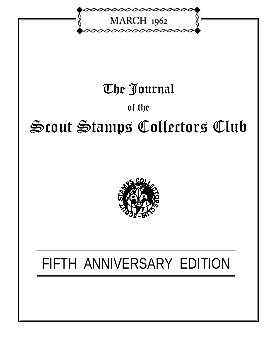

### The Journal

### of the

# Scout Stamps Collectors Club



## FIFTH ANNIVERSARY EDITION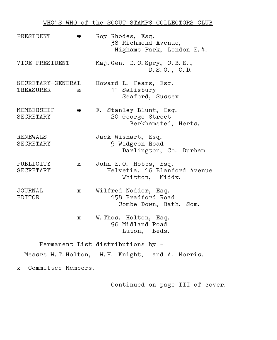#### WHO'S WHO of the SCOUT STAMPS COLLECTORS CLUB

| PRESIDENT                      | $\mathbf x$ | Roy Rhodes, Esq.<br>38 Richmond Avenue,<br>Highams Park, London E. 4.    |
|--------------------------------|-------------|--------------------------------------------------------------------------|
| VICE PRESIDENT                 |             | Maj. Gen. D. C. Spry, C. B. E.,<br>D. S.O., C.D.                         |
| SECRETARY-GENERAL<br>TREASURER | $\mathbf x$ | Howard L. Fears, Esq.<br>11 Salisbury<br>Seaford, Sussex                 |
| MEMBERSHIP<br>SECRETARY        | х           | F. Stanley Blunt, Esq.<br>20 George Street<br>Berkhamsted, Herts.        |
| <b>RENEWALS</b><br>SECRETARY   |             | Jack Wishart, Esq.<br>9 Widgeon Road<br>Darlington, Co. Durham           |
| PUBLICITY<br>SECRETARY         | $\mathbf x$ | John E.O. Hobbs, Esq.<br>Helvetia. 16 Blanford Avenue<br>Whitton, Middx. |
| JOURNAL<br>EDITOR              | X.          | Wilfred Nodder, Esq.<br>158 Bradford Road<br>Combe Down, Bath, Som.      |
|                                | $\mathbf x$ | W. Thos. Holton, Esq.<br>96 Midland Road<br>Luton, Beds.                 |

 Permanent List distributions by – Messrs W.T.Holton, W.H. Knight, and A. Morris.

x Committee Members.

Continued on page III of cover.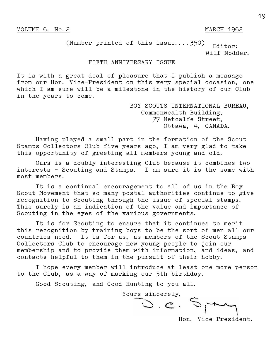(Number printed of this issue....350)  $_{\text{Editor:}}$ Wilf Nodder.

#### FIFTH ANNIVERSARY ISSUE

It is with a great deal of pleasure that I publish a message from our Hon. Vice–President on this very special occasion, one which I am sure will be a milestone in the history of our Club in the years to come.

> BOY SCOUTS INTERNATIONAL BUREAU, Commonwealth Building, 77 Metcalfe Street, Ottawa, 4, CANADA.

 Having played a small part in the formation of the Scout Stamps Collectors Club five years ago, I am very glad to take this opportunity of greeting all members young and old.

 Ours is a doubly interesting Club because it combines two interests – Scouting and Stamps. I am sure it is the same with most members.

 It is a continual encouragement to all of us in the Boy Scout Movement that so many postal authorities continue to give recognition to Scouting through the issue of special stamps. This surely is an indication of the value and importance of Scouting in the eyes of the various governments.

 It is for Scouting to ensure that it continues to merit this recognition by training boys to be the sort of men all our countries need. It is for us, as members of the Scout Stamps Collectors Club to encourage new young people to join our membership and to provide them with information, and ideas, and contacts helpful to them in the pursuit of their hobby.

 I hope every member will introduce at least one more person to the Club, as a way of marking our 5th birthday.

Good Scouting, and Good Hunting to you all.

 Yours sincerely,  $\mathcal{L}_1$  ,  $\mathcal{L}_2$  ,  $\mathcal{L}_1$ 

Hon. Vice–President.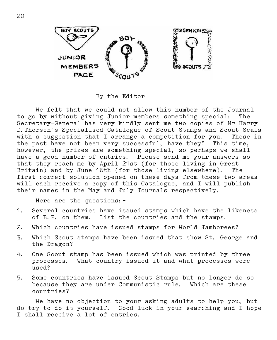

By the Editor

 We felt that we could not allow this number of the Journal to go by without giving Junior members something special: The Secretary–General has very kindly sent me two copies of Mr Harry D.Thorsen's Specialised Catalogue of Scout Stamps and Scout Seals with a suggestion that I arrange a competition for you. These in the past have not been very successful, have they? This time, however, the prizes are something special, so perhaps we shall have a good number of entries. Please send me your answers so that they reach me by April 21st (for those living in Great Britain) and by June 16th (for those living elsewhere). The first correct solution opened on these days from these two areas will each receive a copy of this Catalogue, and I will publish their names in the May and July Journals respectively.

Here are the questions:–

- 1. Several countries have issued stamps which have the likeness of B.P. on them. List the countries and the stamps.
- 2. Which countries have issued stamps for World Jamborees?
- 3. Which Scout stamps have been issued that show St. George and the Dragon?
- 4. One Scout stamp has been issued which was printed by three processes. What country issued it and what processes were used?
- 5. Some countries have issued Scout Stamps but no longer do so because they are under Communistic rule. Which are these countries?

 We have no objection to your asking adults to help you, but do try to do it yourself. Good luck in your searching and I hope I shall receive a lot of entries.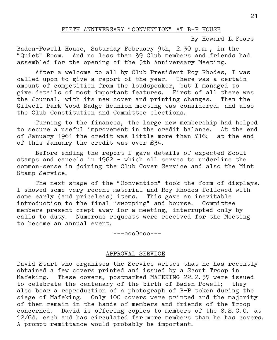#### FIFTH ANNIVERSARY "CONVENTION" AT B–P HOUSE

By Howard L.Fears

Baden–Powell House, Saturday February 9th, 2.30 p.m., in the "Quiet" Room. And no less than 39 Club members and friends had assembled for the opening of the 5th Anniversary Meeting.

 After a welcome to all by Club President Roy Rhodes, I was called upon to give a report of the year. There was a certain amount of competition from the loudspeaker, but I managed to give details of most important features. First of all there was the Journal, with its new cover and printing changes. Then the Gilwell Park Wood Badge Reunion meeting was considered, and also the Club Constitution and Committee elections.

 Turning to the finances, the large new membership had helped to secure a useful improvement in the credit balance. At the end of January 1961 the credit was little more than £16; at the end of this January the credit was over £34.

 Before ending the report I gave details of expected Scout stamps and cancels in 1962 – which all serves to underline the common–sense in joining the Club Cover Service and also the Mint Stamp Service.

 The next stage of the "Convention" took the form of displays. I showed some very recent material and Roy Rhodes followed with some early (and priceless) items. This gave an inevitable introduction to the final "swopping" and bourse. Committee members present crept away for a meeting, interrupted only by calls to duty. Numerous requests were received for the Meeting to become an annual event.

–––ooo0ooo–––

#### APPROVAL SERVICE

David Start who organises the Service writes that he has recently obtained a few covers printed and issued by a Scout Troop in Mafeking. These covers, postmarked MAFEKING 22.2.57 were issued to celebrate the centenary of the birth of Baden Powell; they also boar a reproduction of a photograph of B–P token during the siege of Mafeking. Only 100 covers were printed and the majority of them remain in the hands of members and friends of the Troop concerned. David is offering copies to members of the S.S.C.C. at 12/6d. each and has circulated far more members than he has covers. A prompt remittance would probably be important.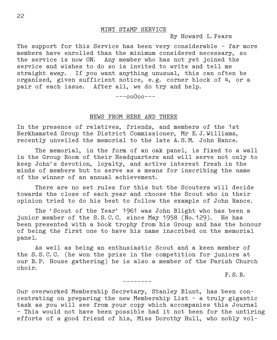By Howard L.Fears

The support for this Service has been very considerable – far more members have enrolled than the minimum considered necessary, so the service is now ON. Any member who has not yet joined the service and wishes to do so is invited to write and tell me straight away. If you want anything unusual, this can often be organised, given sufficient notice, e.g. corner block of 4, or a pair of each issue. After all, we do try and help.

 $---$ ooOoo $---$ 

#### NEWS FROM HERE AND THERE

In the presence of relatives, friends, and members of the 1st Berkhamsted Group the District Commissioner, Mr E.J.Williams, recently unveiled the memorial to the late A.S.M. John Rance.

 The memorial, in the form of an oak panel, is fixed to a wall in the Group Room of their Headquarters and will serve not only to keep John's devotion, loyalty, and active interest fresh in the minds of members but to serve as a means for inscribing the name of the winner of an annual achievement.

 There are no set rules for this but the Scouters will decide towards the close of each year and choose the Scout who in their opinion tried to do his best to follow the example of John Rance.

 The 'Scout of the Year' 1961 was John Blight who has been a junior member of the S.S.C.C. since May 1958 (No.129). He has been presented with a book trophy from his Group and has the honour of being the first one to have his name inscribed on the memorial panel.

 As well as being an enthusiastic Scout and a keen member of the S.S.C.C. (he won the prize in the competition for juniors at our B.P. House gathering) he is also a member of the Parish Church choir.

––––––––

F.S.B.

Our overworked Membership Secretary, Stanley Blunt, has been con– centrating on preparing the new Membership List – a truly gigantic task as you will see from your copy which accompanies this Journal – This would not have been possible had it not been for the untiring efforts of a good friend of his, Miss Dorothy Hull, who nobly vol–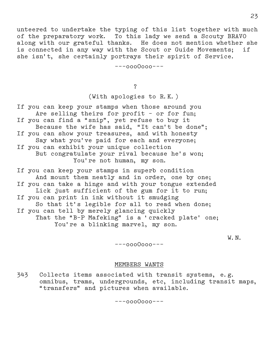unteered to undertake the typing of this list together with much of the preparatory work. To this lady we send a Scouty BRAVO along with our grateful thanks. He does not mention whether she is connected in any way with the Scout or Guide Movements; if she isn't, she certainly portrays their spirit of Service.

–––oooOooo–––

?

(With apologies to R.K.)

If you can keep your stamps when those around you Are selling theirs for profit – or for fun; If you can find a "snip", yet refuse to buy it Because the wife has said, "It can't be done"; If you can show your treasures, and with honesty Say what you've paid for each and everyone; If you can exhibit your unique collection But congratulate your rival because he's won; You're not human, my son.

If you can keep your stamps in superb condition And mount them neatly and in order, one by one; If you can take a hinge and with your tongue extended Lick just sufficient of the gum for it to run; If you can print in ink without it smudging So that it's legible for all to read when done; If you can tell by merely glancing quickly That the "B–P Mafeking" is a 'cracked plate' one; You're a blinking marvel, my son.

w. N. We have the contract of the contract of the contract of the contract of the contract of the contract of the contract of the contract of the contract of the contract of the contract of the contract of the contract of

–––oooOooo–––

#### MEMBERS WANTS

343 Collects items associated with transit systems, e.g. omnibus, trams, undergrounds, etc, including transit maps, "transfers" and pictures when available.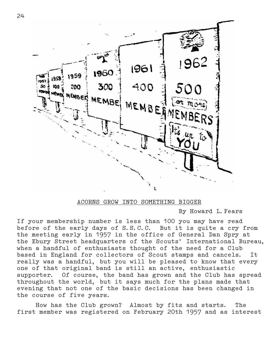

ACORNS GROW INTO SOMETHING BIGGER

By Howard L.Fears

If your membership number is less than 100 you may have read before of the early days of S.S.C.C. But it is quite a cry from the meeting early in 1957 in the office of General Dan Spry at the Ebury Street headquarters of the Scouts' International Bureau, when a handful of enthusiasts thought of the need for a Club based in England for collectors of Scout stamps and cancels. It really was a handful, but you will be pleased to know that every one of that original band is still an active, enthusiastic supporter. Of course, the band has grown and the Club has spread throughout the world, but it says much for the plans made that evening that not one of the basic decisions has been changed in the course of five years.

 How has the Club grown? Almost by fits and starts. The first member was registered on February 20th 1957 and as interest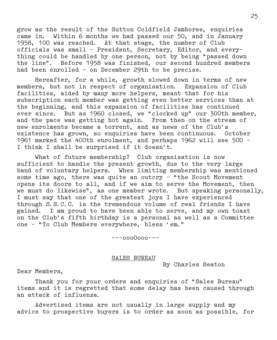grow as the result of the Sutton Coldfield Jamboree, enquiries came in. Within 6 months we had passed our 50, and in January 1958, 100 was reached. At that stage, the number of Club officials was small – President, Secretary, Editor, and every– thing could be handled by one person, not by being "passed down the line". Before 1958 was finished, our second hundred members had been enrolled – on December 29th to be precise.

 Hereafter, for a while, growth slowed down in terms of new members, but not in respect of organisation. Expansion of Club facilities, aided by many more helpers, meant that for his subscription each member was getting even better services than at the beginning, and this expansion of facilities has continued ever since. But as 1960 closed, we "clocked up" our 300th member, and the pace was getting hot again. From then on the stream of new enrolments became a torrent, and as news of the Club's existence has grown, so enquiries have been continuous. October 1961 marked the 400th enrolment, and perhaps 1962 will see 500 – I think I shall be surprised if it doesn't.

 What of future membership? Club organisation is now sufficient to handle the present growth, due to the very large band of voluntary helpers. When limiting membership was mentioned some time ago, there was quite an outcry – "the Scout Movement opens its doors to all, and if we aim to serve the Movement, then we must do likewise", as one member wrote. But speaking personally, I must say that one of the greatest joys I have experienced through S.S.C.C. is the tremendous volume of real friends I have gained. I am proud to have been able to serve, and my own toast on the Club's fifth birthday is a personal as well as a Committee one – "To Club Members everywhere, bless 'em."

–––ooo0ooo–––

#### SALES BUREAU

By Charles Seaton

Dear Members,

 Thank you for your orders and enquiries of "Sales Bureau" items and it is regretted that some delay has been caused through an attack of influenza.

 Advertised items are not usually in large supply and my advice to prospective buyers is to order as soon as possible, for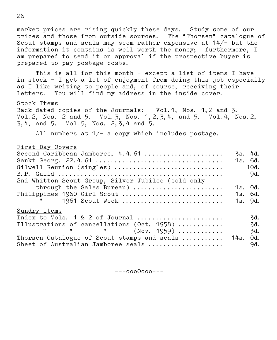market prices are rising quickly these days. Study some of our prices and those from outside sources. The "Thorsen" catalogue of Scout stamps and seals may seem rather expensive at 14/– but the information it contains is well worth the money; furthermore, I am prepared to send it on approval if the prospective buyer is prepared to pay postage costs.

 This is all for this month – except a list of items I have in stock – I get a lot of enjoyment from doing this job especially as I like writing to people and, of course, receiving their letters. You will find my address in the inside cover.

#### Stock Items

Back dated copies of the Journals:– Vol.1, Nos. 1,2 and 3. Vol.2, Nos. 2 and 5. Vol.3, Nos. 1,2,3,4, and 5. Vol.4, Nos.2, 3,4, and 5. Vol.5, Nos. 2,3,4 and 5.

All numbers at  $1/-$  a copy which includes postage.

#### First Day Covers

| Second Caribbean Jamboree, 4.4.61                  | 3s. 4d. |      |
|----------------------------------------------------|---------|------|
|                                                    | 1s.6d.  |      |
| Gilwell Reunion (singles)                          |         | 10d. |
|                                                    |         | 9d.  |
| 2nd Whitton Scout Group, Silver Jubilee (sold only |         |      |
| through the Sales Bureau)                          | 1s. Od. |      |
| Philippines 1960 Girl Scout                        | 1s. 6d. |      |
| 1961 Scout Week                                    | 1s. 9d. |      |
| Sundry items                                       |         |      |
| Index to Vols. 1 & 2 of Journal                    |         | 3d.  |
| Illustrations of cancellations (Oct. 1958)         |         | 3d.  |
| " " $(Nov. 1959)$                                  |         | 3d.  |
| Thorsen Catalogue of Scout stamps and seals  14s.  |         | Od.  |
| Sheet of Australian Jamboree seals                 |         | 9d.  |

–––oooOooo–––

26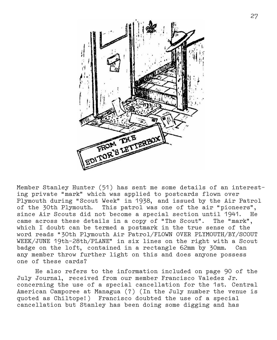

Member Stanley Hunter (51) has sent me some details of an interest– ing private "mark" which was applied to postcards flown over Plymouth during "Scout Week" in 1938, and issued by the Air Patrol of the 30th Plymouth. This patrol was one of the air "pioneers", since Air Scouts did not become a special section until 1941. He came across these details in a copy of "The Scout". The "mark", which I doubt can be termed a postmark in the true sense of the word reads "30th Plymouth Air Patrol/FLOWN OVER PLYMOUTH/BY/SCOUT WEEK/JUNE 19th–28th/PLANE" in six lines on the right with a Scout badge on the loft, contained in a rectangle 62mm by 30mm. Can any member throw further light on this and does anyone possess one of these cards?

 He also refers to the information included on page 90 of the July Journal, received from our member Francisco Valedez Jr. concerning the use of a special cancellation for the 1st. Central American Camporee at Managua (?) (In the July number the venue is quoted as Chiltope!) Francisco doubted the use of a special cancellation but Stanley has been doing some digging and has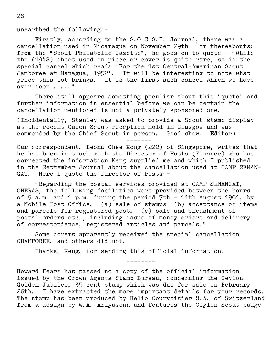unearthed the following:–

 Firstly, according to the S.O.S.S.I. Journal, there was a cancellation used in Nicaragua on November 29th – or thereabouts: from the "Scout Philatelic Gazette", he goes on to quote – "While the (1948) sheet used on piece or cover is quite rare, so is the special cancel which reads 'For the 1st Central–American Scout Jamboree at Managua, 1952'. It will be interesting to note what price this lot brings. It is the first such cancel which we have over seen ....."

 There still appears something peculiar about this 'quote' and further information is essential before we can be certain the cancellation mentioned is not a privately sponsored one.

(Incidentally, Stanley was asked to provide a Scout stamp display at the recent Queen Scout reception hold in Glasgow and was commended by the Chief Scout in person. Good show. Editor)

–––––––

Our correspondent, Leong Ghee Kong (222) of Singapore, writes that he has been in touch with the Director of Posts (Finance) who has corrected the information Keng supplied me and which I published in the September Journal about the cancellation used at CAMP SEMAN– GAT. Here I quote the Director of Posts:–

 "Regarding the postal services provided at CAMP SEMANGAT, CHERAS, the following facilities were provided between the hours of 9 a.m. and 1 p.m. during the period 7th – 11th August 1961, by a Mobile Post Office, (a) sale of stamps (b) acceptance of items and parcels for registered post, (c) sale and encashment of postal orders etc., including issue of money orders and delivery of correspondence, registered articles and parcels."

 Some covers apparently received the special cancellation CHAMPOREE, and others did not.

Thanks, Keng, for sending this official information.

––––––––

Howard Fears has passed no a copy of the official information issued by the Crown Agents Stamp Bureau, concerning the Ceylon Golden Jubilee, 35 cent stamp which was due for sale on February 26th. I have extracted the more important details for your records. The stamp has been produced by Helio Courvoisier S.A. of Switzerland from a design by W.A. Ariyasena and features the Ceylon Scout badge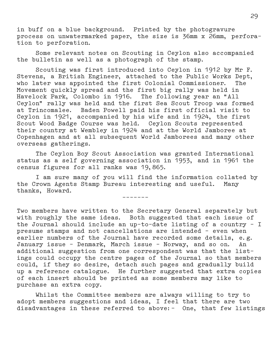in buff on a blue background. Printed by the photogravure process on unwatermarked paper, the size is 36mm x 26mm, perfora– tion to perforation.

 Some relevant notes on Scouting in Ceylon also accompanied the bulletin as well as a photograph of the stamp.

 Scouting was first introduced into Ceylon in 1912 by Mr F. Stevens, a British Engineer, attached to the Public Works Dept, who later was appointed the first Colonial Commissioner. The Movement quickly spread and the first big rally was held in Havelock Park, Colombo in 1916. The following year an "All Ceylon" rally was held and the first Sea Scout Troop was formed at Trincomalee. Baden Powell paid his first official visit to Ceylon in 1921, accompanied by his wife and in 1924, the first Scout Wood Badge Course was held. Ceylon Scouts represented their country at Wembley in 1924 and at the World Jamboree at Copenhagen and at all subsequent World Jamborees and many other overseas gatherings.

 The Ceylon Boy Scout Association was granted International status as a self governing association in 1953, and in 1961 the census figures for all ranks was 19,865.

 I am sure many of you will find the information collated by the Crown Agents Stamp Bureau interesting and useful. Many thanks, Howard.

–––––––

Two members have written to the Secretary General separately but with roughly the same ideas. Both suggested that each issue of the Journal should include an up–to–date listing of a country – I presume stamps and not cancellations are intended – even when earlier numbers of the Journal have recorded some details, e.g. January issue – Denmark, March issue – Norway, and so on. An additional suggestion from one correspondent was that the list– ings could occupy the centre pages of the Journal so that members could, if they so desire, detach such pages and gradually build up a reference catalogue. He further suggested that extra copies of each insert should be printed as some members may like to purchase an extra copy.

 Whilst the Committee members are always willing to try to adopt members suggestions and ideas, I feel that there are two disadvantages in these referred to above:– One, that few listings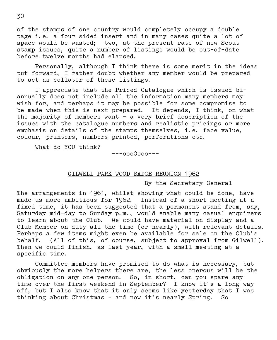of the stamps of one country would completely occupy a double page i.e. a four sided insert and in many cases quite a lot of space would be wasted; two, at the present rate of new Scout stamp issues, quite a number of listings would be out–of–date before twelve months had elapsed.

 Personally, although I think there is some merit in the ideas put forward, I rather doubt whether any member would be prepared to act as collator of these listings.

 I appreciate that the Priced Catalogue which is issued bi– annually does not include all the information many members may wish for, and perhaps it may be possible for some compromise to be made when this is next prepared. It depends, I think, on what the majority of members want – a very brief description of the issues with the catalogue numbers and realistic pricings or more emphasis on details of the stamps themselves, i.e. face value, colour, printers, numbers printed, perforations etc.

What do YOU think?

–––ooo0ooo–––

#### GILWELL PARK WOOD BADGE REUNION 1962

By the Secretary–General

The arrangements in 1961, whilst showing what could be done, have made us more ambitious for 1962. Instead of a short meeting at a fixed time, it has been suggested that a permanent stand from, say, Saturday mid–day to Sunday p.m., would enable many casual enquirers to learn about the Club. We could have material on display and a Club Member on duty all the time (or nearly), with relevant details. Perhaps a few items might even be available for sale on the Club's behalf. (All of this, of course, subject to approval from Gilwell). Then we could finish, as last year, with a small meeting at a specific time.

 Committee members have promised to do what is necessary, but obviously the more helpers there are, the less onerous will be the obligation on any one person. So, in short, can you spare any time over the first weekend in September? I know it's a long way off, but I also know that it only seems like yesterday that I was thinking about Christmas – and now it's nearly Spring. So

30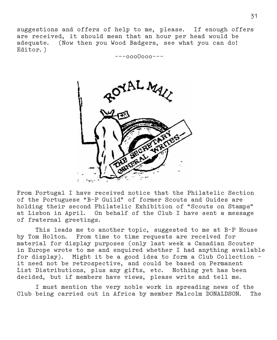suggestions and offers of help to me, please. If enough offers are received, it should mean that an hour per head would be adequate. (Now then you Wood Badgers, see what you can do! Editor.)

–––ooo0ooo–––



From Portugal I have received notice that the Philatelic Section of the Portuguese "B–P Guild" of former Scouts and Guides are holding their second Philatelic Exhibition of "Scouts on Stamps" at Lisbon in April. On behalf of the Club I have sent a message of fraternal greetings.

 This leads me to another topic, suggested to me at B–P House by Tom Holton. From time to time requests are received for material for display purposes (only last week a Canadian Scouter in Europe wrote to me and enquired whether I had anything available for display). Might it be a good idea to form a Club Collection – it need not be retrospective, and could be based on Permanent List Distributions, plus any gifts, etc. Nothing yet has been decided, but if members have views, please write and tell me.

 I must mention the very noble work in spreading news of the Club being carried out in Africa by member Malcolm DONALDSON. The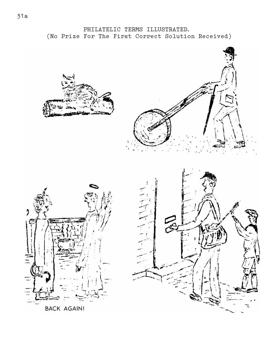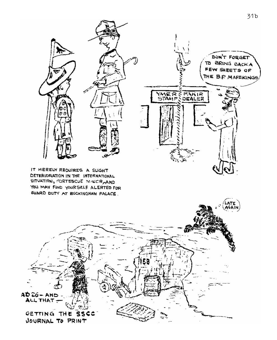

IT MERELY REQUIRES A SLIGHT DETERIORATION IN THE INTERNATIONAL SITUATION, FORTESCUE MINICR, AND YOU MAY FIND YOURSELF ALERTED FOR **GUARD DUTY AT BUCKINGHAM PALACE.** 

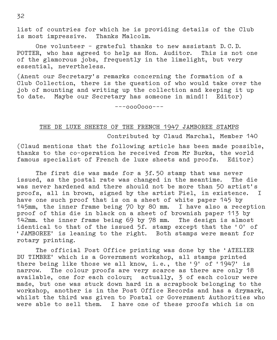list of countries for which he is providing details of the Club is most impressive. Thanks Malcolm.

 One volunteer – grateful thanks to new assistant D.C.D. POTTER, who has agreed to help as Hon. Auditor. This is not one of the glamorous jobs, frequently in the limelight, but very essential, nevertheless.

(Anent our Secretary's remarks concerning the formation of a Club Collection, there is the question of who would take over the job of mounting and writing up the collection and keeping it up to date. Maybe our Secretary has someone in mind!! Editor)

–––ooo0ooo–––

### THE DE LUXE SHEETS OF THE FRENCH 1947 JAMBOREE STAMPS Contributed by Claud Marchal, Member 140

(Claud mentions that the following article has been made possible, thanks to the co–operation he received from Mr Burka, the world famous specialist of French de luxe sheets and proofs. Editor)

 The first die was made for a 3f.50 stamp that was never issued, as the postal rate was changed in the meantime. The die was never hardened and there should not be more than 50 artist's proofs, all in brown, signed by the artist Piel, in existence. I have one such proof that is on a sheet of white paper 145 by 145mm, the inner frame being 70 by 80 mm. I have also a reception proof of this die in black on a sheet of brownish paper 113 by 142mm. the inner frame being 69 by 78 mm. The design is almost identical to that of the issued 5f. stamp except that the 'O' of 'JAMBOREE' is leaning to the right. Both stamps were meant for rotary printing.

 The official Post Office printing was done by the 'ATELIER DU TIMBRE' which is a Government workshop, all stamps printed there being like those we all know, i.e., the '9' of '1947' is narrow. The colour proofs are very scarce as there are only 18 available, one for each colour; actually, 3 of each colour were made, but one was stuck down hard in a scrapbook belonging to the workshop, another is in the Post Office Records and has a drymark, whilst the third was given to Postal or Government Authorities who were able to sell them. I have one of these proofs which is on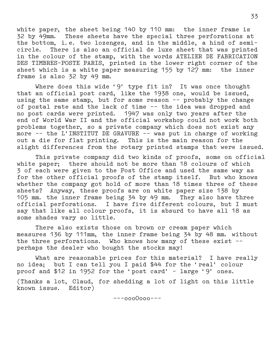white paper, the sheet being 140 by 110 mm: the inner frame is 32 by 49mm. These sheets have the special three perforations at the bottom, i.e. two lozenges, and in the middle, a hind of semi– circle. There is also an official de luxe sheet that was printed in the colour of the stamp, with the words ATELIER DE FABRICATION DES TIMBRES–POSTE PARIS, printed in the lower right corner of the sheet which is a white paper measuring 155 by 127 mm: the inner frame is also 32 by 49 mm.

 Where does this wide '9' type fit in? It was once thought that an official post card, like the 1938 one, would be issued, using the same stamp, but for some reason –– probably the change of postal rate and the lack of time –– the idea was dropped and no post cards were printed. 1947 was only two years after the end of World War II and the official workshop could not work both problems together, so a private company which does not exist any more –– the L'INSTITUT DE GRAVURE –– was put in charge of working out a die for flat printing. This is the main reason for the slight differences from the rotary printed stamps that were issued.

 This private company did two kinds of proofs, some on official white paper; there should not be more than 18 colours of which 3 of each were given to the Post Office and used the same way as for the other official proofs of the stamp itself. But who knows whether the company got hold of more than 18 times three of these sheets? Anyway, these proofs are on white paper size 138 by 105 mm. the inner frame being 34 by 49 mm. They also have three official perforations. I have five different colours, but I must say that like all colour proofs, it is absurd to have all 18 as some shades vary so little.

 There also exists those on brown or cream paper which measures 136 by 111mm, the inner frame being 34 by 48 mm. without the three perforations. Who knows how many of these exist –– perhaps the dealer who bought the stocks may!

 What are reasonable prices for this material? I have really no idea; but I can tell you I paid \$44 for the 'real' colour proof and \$12 in 1952 for the 'post card' – large '9' ones. (Thanks a lot, Claud, for shedding a lot of light on this little known issue. Editor)

–––ooo0ooo–––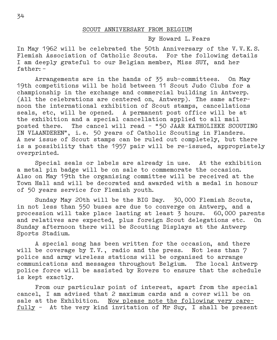#### SCOUT ANNIVERSARY FROM BELGIUM

#### By Howard L.Fears

In May 1962 will be celebrated the 50th Anniversary of the V.V.K.S. Flemish Association of Catholic Scouts. For the following details I am deeply grateful to our Belgian member, Miss SUY, and her father:–

 Arrangements are in the hands of 35 sub–committees. On May 19th competitions will be hold between 11 Scout Judo Clubs for a championship in the exchange and commercial building in Antwerp. (All the celebrations are centered on, Antwerp). The same after– noon the international exhibition of Scout stamps, cancellations seals, etc, will be opened. A permanent post office will be at the exhibition and a special cancellation applied to all mail posted there. The cancel will read – "50 JAAR KATHOLIEKE SCOUTING IN VLAANDEREN", i.e. 50 years of Catholic Scouting in Flanders. A new issue of Scout stamps can be ruled out completely, but there is a possibility that the 1957 pair will be re–issued, appropriately overprinted.

 Special seals or labels are already in use. At the exhibition a metal pin badge will be on sale to commemorate the occasion. Also on May 19th the organising committee will be received at the Town Hall and will be decorated and awarded with a medal in honour of 50 years service for Flemish youth.

 Sunday May 20th will be the BIG Day. 30,000 Flemish Scouts, in not less than 550 buses are due to converge on Antwerp, and a procession will take place lasting at least  $\bar{3}$  hours. 60,000 parents and relatives are expected, plus foreign Scout delegations etc. On Sunday afternoon there will be Scouting Displays at the Antwerp Sports Stadium.

 A special song has been written for the occasion, and there will be coverage by T.V., radio and the press. Not less than 7 police and army wireless stations will be organised to arrange communications and messages throughout Belgium. The local Antwerp police force will be assisted by Rovers to ensure that the schedule is kept exactly.

 From our particular point of interest, apart from the special cancel, I am advised that 2 maximum cards and a cover will be on sale at the Exhibition. Now please note the following very care– fully – At the very kind invitation of Mr Suy, I shall be present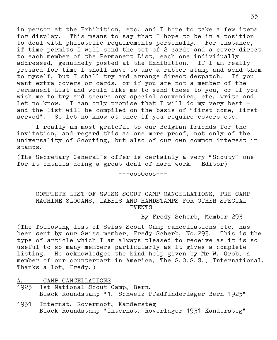in person at the Exhibition, etc. and I hope to take a few items for display. This means to say that I hope to be in a position to deal with philatelic requirements personally. For instance, if time permits I will send the set of 2 cards and a cover direct to each member of the Permanent List, each one individually addressed, genuinely posted at the Exhibition. If I am really pressed for time I shall have to use a rubber stamp and send them to myself, but I shall try and arrange direct despatch. If you want extra covers or cards, or if you are not a member of the Permanent List and would like me to send these to you, or if you wish me to try and secure any special souvenirs, etc. write and let no know. I can only promise that I will do my very best – and the list will be compiled on the basis of "first come, first served". So let no know at once if you require covers etc.

 I really am most grateful to our Belgian friends for the invitation, and regard this as one more proof, not only of the universality of Scouting, but also of our own common interest in stamps.

(The Secretary–General's offer is certainly a very "Scouty" one for it entails doing a great deal of hard work. Editor)

–––ooo0ooo–––

 COMPLETE LIST OF SWISS SCOUT CAMP CANCELLATIONS, PRE CAMP MACHINE SLOGANS, LABELS AND HANDSTAMPS FOR OTHER SPECIAL . EVENTS .

By Fredy Scherb, Member 293

(The following list of Swiss Scout Camp cancellations etc. has been sent by our Swiss member, Fredy Scherb, No.293. This is the type of article which I am always pleased to receive as it is so useful to so many members particularly as it gives a complete listing. He acknowledges the kind help given by Mr W. Grob, a member of our counterpart in America, The S.O.S.S., International. Thanks a lot, Fredy.)

A. CAMP CANCELLATIONS

- 1925 1st National Scout Camp, Bern. Black Roundstamp "1. Schweiz Pfadfinderlager Bern 1925"
- 1931 Internat. Rovermoot, Kandersteg Black Roundstamp "Internat. Roverlager 1931 Kandersteg"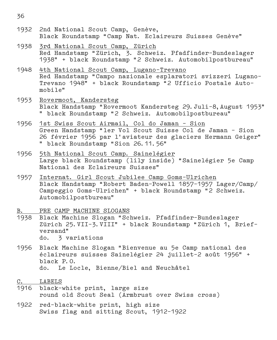- 1932 2nd National Scout Camp, Genève, Black Roundstamp "Camp Nat. Eclaireurs Suisses Genève"
- 1938 3rd National Scout Camp, Zürich Red Handstamp "Zürich, 3. Schweiz. Pfadfinder–Bundeslager 1938" + black Roundstamp "2 Schweiz. Automobilpostbureau"
- 1948 4th National Scout Camp, Lugano–Trevano Red Handstamp "Campo nazionale esplaratori svizzeri Lugano– Trevano 1948" + black Roundstamp "2 Ufficio Postale Auto– mobile"
- 1953 Rovermoot, Kandersteg Black Handstamp "Rovermoot Kandersteg 29.Juli–8,August 1953" " black Roundstamp "2 Schweiz. Automobilpostbureau"
- 1956 1st Swiss Scout Airmail, Col do Jaman Sion Green Handstamp "ler Vol Scout Suisse Col de Jaman – Sion 26 février 1956 par l'aviateur des glaciers Hermann Geiger" " black Roundstamp "Sion 26.11.56"
- 1956 5th National Scout Camp. Sainelégier Large black Roundstamp (lily inside) "Sainelégier 5e Camp National des Eclaireurs Suisses"
- 1957 Internat. Girl Scout Jubilee Camp Goms–Ulrichen Black Handstamp "Robert Baden–Powell 1857–1957 Lager/Camp/ Campeggio Goms–Ulrichen" + black Roundstamp "2 Schweiz. Automobilpostbureau"
- B. PRE CAMP MACHINE SLOGANS
- 1938 Black Machine Slogan "Schweiz. Pfadfinder–Bundeslager Zürich 25.VII–3.VIII" + black Roundstamp "Zürich 1, Brief– versand" do. 3 variations
- 1956 Black Machine Slogan "Bienvenue au 5e Camp national des éclaireurs suisses Sainelégier 24 juillet–2 août 1956" + black P.O. do. Le Locle, Bienne/Biel and Neuchâtel
- C. LABELS
- 1916 black–white print, large size round old Scout Seal (Armbrust over Swiss cross)
- 1922 red–black–white print, high size Swiss flag and sitting Scout, 1912–1922

36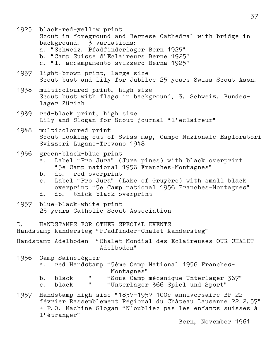1925 black–red–yellow print Scout in foreground and Bernese Cathedral with bridge in background. 3 variations: a. "Schweiz. Pfadfinderlager Bern 1925" b. "Camp Suisse d'Eclaireurs Berne 1925" c. "l. accampamento svizzero Berna 1925" 1937 light–brown print, large size Scout bust and lily for Jubilee 25 years Swiss Scout Assn. 1938 multicoloured print, high size Scout bust with flags in background, 3. Schweiz. Bundes– lager Zürich 1939 red–black print, high size Lily and Slogan for Scout journal "l'eclaireur" 1948 multicoloured print Scout looking out of Swiss map, Campo Nazionale Esploratori Svizzeri Lugano–Trevano 1948 1956 green–black–blue print a. Label "Pro Jura" (Jura pines) with black overprint "5e Camp national 1956 Franches–Montagnes" b. do. red overprint c. Label "Pro Jura" (Lake of Gruyère) with small black overprint "5e Camp national 1956 Franches–Montagnes" d. do. thick black overprint 1957 blue–black–white print 25 years Catholic Scout Association D. HANDSTAMPS FOR OTHER SPECIAL EVENTS Handstamp Kandersteg "Pfadfinder–Chalet Kandersteg" Handstamp Adelboden "Chalet Mondial des Eclaireuses OUR CHALET Adelboden" 1956 Camp Sainelégier a. red Handstamp "5ème Camp National 1956 Franches– Montagnes" b. black " "Sous–Camp mécanique Unterlager 367" c. black " "Unterlager 366 Spiel und Sport" 1957 Handstamp high size "1857–1957 100e anniversaire BP 22 février Rassemblement Régional du Château Lausanne 22.2.57" + P.O. Machine Slogan "N'oubliez pas les enfants suisses à l'étranger"

 $37$ 

Bern, November 1961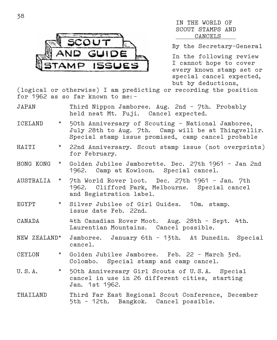

#### IN THE WORLD OF SCOUT STAMPS AND . CANCELS .

By the Secretary–General

In the following review I cannot hope to cover every known stamp set or special cancel expected, but by deductions,

(logical or otherwise) I am predicting or recording the position for 1962 as so far known to me:–

| JAPAN | Third Nippon Jamboree. Aug. 2nd - 7th. Probably |  |  |
|-------|-------------------------------------------------|--|--|
|       | held neat Mt. Fuji. Cancel expected.            |  |  |

- ICELAND \* 50th Anniversary of Scouting National Jamboree, July 28th to Aug. 7th. Camp will be at Thingvellir. Special stamp issue promised, camp cancel probable
- HAITI \* 22nd Anniversary. Scout stamp issue (not overprints) for February.
- HONG KONG \* Golden Jubilee Jamborette. Dec. 27th 1961 Jan 2nd 1962. Camp at Kowloon. Special cancel.
- AUSTRALIA \* 7th World Rover loot. Dec. 27th 1961 Jan. 7th 1962. Clifford Park, Melbourne. Special cancel and Registration label.
- EGYPT \* Silver Jubilee of Girl Guides. 10m. stamp. issue date Feb. 22nd.
- CANADA 4th Canadian Rover Moot. Aug. 28th Sept. 4th. Laurentian Mountains. Cancel possible.
- NEW ZEALAND\* Jamboree. January 6th 13th. At Dunedin. Special cancel.
- CEYLON \* Golden Jubilee Jamboree. Feb. 22 March 3rd. Colombo. Special stamp and camp cancel.
- U.S.A. \* 50th Anniversary Girl Scouts of U.S.A. Special cancel in use in 26 different cities, starting Jan. 1st 1962.
- THAILAND Third Far East Regional Scout Conference, December 5th – 12th. Bangkok. Cancel possible.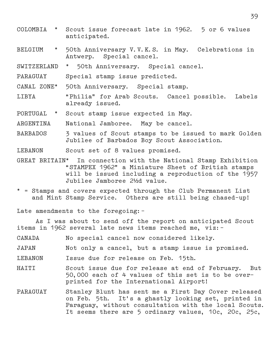- COLOMBIA \* Scout issue forecast late in 1962. 5 or 6 values anticipated.
- BELGIUM \* 50th Anniversary V.V.K.S. in May. Celebrations in Antwerp. Special cancel.
- SWITZERLAND \* 50th Anniversary. Special cancel.
- PARAGUAY Special stamp issue predicted.
- CANAL ZONE\* 50th Anniversary. Special stamp.
- LIBYA "Philia" for Arab Scouts. Cancel possible. Labels already issued.
- PORTUGAL \* Scout stamp issue expected in May.
- ARGENTINA National Jamboree. May be cancel.
- BARBADOS 3 values of Scout stamps to be issued to mark Golden Jubilee of Barbados Boy Scout Association.
- LEBANON Scout set of 8 values promised.
- GREAT BRITAIN\* In connection with the National Stamp Exhibition "STAMPEX 1962" a Miniature Sheet of British stamps will be issued including a reproduction of the 1957 Jubilee Jamboree 2½d value.
- \* = Stamps and covers expected through the Club Permanent List and Mint Stamp Service. Others are still being chased–up!

Late amendments to the foregoing:–

 As I was about to send off the report on anticipated Scout items in 1962 several late news items reached me, viz:–

- CANADA No special cancel now considered likely.
- JAPAN Not only a cancel, but a stamp issue is promised.
- LEBANON Issue due for release on Feb. 15th.
- HAITI Scout issue due for release at end of February. But 50,000 each of 4 values of this set is to be over– printed for the International Airport!
- PARAGUAY Stanley Blunt has sent me a First Day Cover released on Feb. 5th. It's a ghastly looking set, printed in Paraguay, without consultation with the local Scouts. It seems there are 5 ordinary values, 10c, 20c, 25c,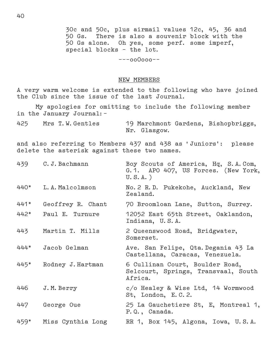30c and 50c, plus airmail values 12c, 45, 36 and There is also a souvenir block with the 50 Gs alone. Oh yes, some perf. some imperf, special blocks – the lot.

–––oo0ooo––

#### NEW MEMBERS

A very warm welcome is extended to the following who have joined the Club since the issue of the last Journal.

 My apologies for omitting to include the following member in the January Journal:–

425 Mrs T.W.Gentles 19 Marchmont Gardens, Bishopbriggs, Nr. Glasgow.

and also referring to Members 437 and 438 as 'Juniors': please delete the asterisk against these two names.

| 439  | C.J. Bachmann     | Boy Scouts of America, Hq, S.A.Com,<br>G.1. APO 407, US Forces. (New York,<br>$U.S.A.$ ) |  |  |  |
|------|-------------------|------------------------------------------------------------------------------------------|--|--|--|
| 440* | L.A.Malcolmson    | No. 2 R.D. Pukekohe, Auckland, New<br>Zealand.                                           |  |  |  |
| 441* | Geoffrey R. Chant | 70 Broomloan Lane, Sutton, Surrey.                                                       |  |  |  |
| 442* | Paul E. Turnure   | 12052 East 65th Street, Oaklandon,<br>Indiana, U.S.A.                                    |  |  |  |
| 443  | Martin T. Mills   | 2 Queenswood Road, Bridgwater,<br>Somerset.                                              |  |  |  |
| 444* | Jacob Gelman      | Ave. San Felipe, Qta. Degania 43 La<br>Castellana, Caracas, Venezuela.                   |  |  |  |
| 445* | Rodney J. Hartman | 6 Cullinan Court, Boulder Road,<br>Selcourt, Springs, Transvaal, South<br>Africa.        |  |  |  |
| 446  | J.M. Berry        | c/o Healey & Wise Ltd, 14 Wormwood<br>St, London, E.C.2.                                 |  |  |  |
| 447  | George Oue        | 25 La Gauchetiere St, E, Montreal 1,<br>P.Q., Canada.                                    |  |  |  |
| 459* | Miss Cynthia Long | RR 1, Box 145, Algona, Iowa, U.S.A.                                                      |  |  |  |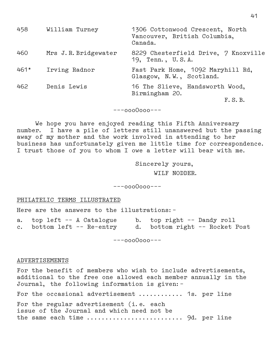| 458             | William Turney       | 1306 Cottonwood Crescent, North<br>Vancouver, British Columbia,<br>Canada. |  |  |
|-----------------|----------------------|----------------------------------------------------------------------------|--|--|
| 460             | Mrs J.R. Bridgewater | 8229 Chesterfield Drive, 7 Knoxville<br>19, Tenn., U.S.A.                  |  |  |
| $461*$          | Irving Radnor        | Fast Park Home, 1092 Maryhill Rd,<br>Glasgow, N.W., Scotland.              |  |  |
| 462             | Denis Lewis          | 16 The Slieve, Handsworth Wood,<br>Birmingham 20.                          |  |  |
|                 |                      | F.S.B.                                                                     |  |  |
| $---0000000---$ |                      |                                                                            |  |  |

We hope you have enjoyed reading this Fifth Anniversary number. I have a pile of letters still unanswered but the passing away of my mother and the work involved in attending to her business has unfortunately given me little time for correspondence. I trust those of you to whom I owe a letter will bear with me.

> Sincerely yours, WILF NODDER.

–––ooo0ooo–––

#### PHILATELIC TERMS ILLUSTRATED

Here are the answers to the illustrations:–

| a. top left -- A Catalogue | b. top right -- Dandy roll |                                |
|----------------------------|----------------------------|--------------------------------|
| c. bottom left -- Re-entry |                            | d. bottom right -- Rocket Post |

–––ooo0ooo–––

#### ADVERTISEMENTS

For the benefit of members who wish to include advertisements, additional to the free one allowed each member annually in the Journal, the following information is given:–

For the occasional advertisement ............ 1s. per line For the regular advertisement (i.e. each issue of the Journal and which need not be the same each time .......................... 9d. per line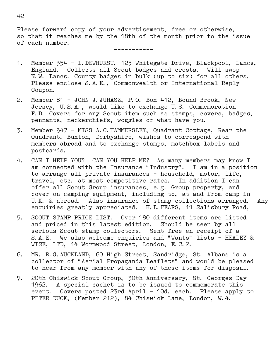Please forward copy of your advertisement, free or otherwise, so that it reaches me by the 18th of the month prior to the issue of each number.

–––––––––––

- 1. Member 354 L.DEWHURST, 125 Whitegate Drive, Blackpool, Lancs, England. Collects all Scout badges and crests. Will swop N.W. Lancs. County badges in bulk (up to six) for all others. Please enclose S.A.E., Commonwealth or International Reply Coupon.
- 2. Member 81 JOHN J.JUHASZ, P.O. Box 412, Bound Brook, New Jersey, U.S.A., would like to exchange U.S. Commemoration F.D. Covers for any Scout item such as stamps, covers, badges, pennants, neckerchiefs, woggles or what have you.
- 3. Member 347 MISS A.C.HAMMERSLEY, Quadrant Cottage, Rear the Quadrant, Buxton, Derbyshire, wishes to correspond with members abroad and to exchange stamps, matchbox labels and postcards.
- 4. CAN I HELP YOU? CAN YOU HELP ME? As many members may know I am connected with the Insurance "Industry". I am in a position to arrange all private insurances – household, motor, life, travel, etc. at most competitive rates. In addition I can offer all Scout Group insurances, e.g. Group property, and cover on camping equipment, including to, at and from camp in U.K. & abroad. Also insurance of stamp collections arranged. Any enquiries greatly appreciated. H.L.FEARS, 11 Salisbury Road,
- 5. SCOUT STAMP PRICE LIST. Over 180 different items are listed and priced in this latest edition. Should be seen by all serious Scout stamp collectors. Sent free en receipt of a S.A.E. We also welcome enquiries and "Wants" lists – HEALEY & WISE, LTD, 14 Wormwood Street, London, E.C.2.
- 6. MR. R.G.AUCKLAND, 60 High Street, Sandridge, St. Albans is a collector of "Aerial Propaganda Leaflets" and would be pleased to hear from any member with any of these items for disposal.
- 7. 20th Chiswick Scout Group, 30th Anniversary, St. Georges Day 1962. A special cachet is to be issued to commemorate this event. Covers posted 23rd April – 10d. each. Please apply to PETER DUCK, (Member 212), 84 Chiswick Lane, London, W.4.

42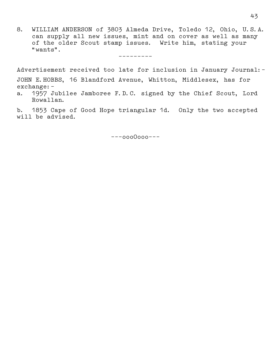8. WILLIAM ANDERSON of 3803 Almeda Drive, Toledo 12, Ohio, U.S.A. can supply all new issues, mint and on cover as well as many of the older Scout stamp issues. Write him, stating your "wants".

–––––––––

Advertisement received too late for inclusion in January Journal:– JOHN E.HOBBS, 16 Blandford Avenue, Whitton, Middlesex, has for exchange:–

a. 1957 Jubilee Jamboree F.D.C. signed by the Chief Scout, Lord Rowallan.

b. 1853 Cape of Good Hope triangular 1d. Only the two accepted will be advised.

–––ooo0ooo–––